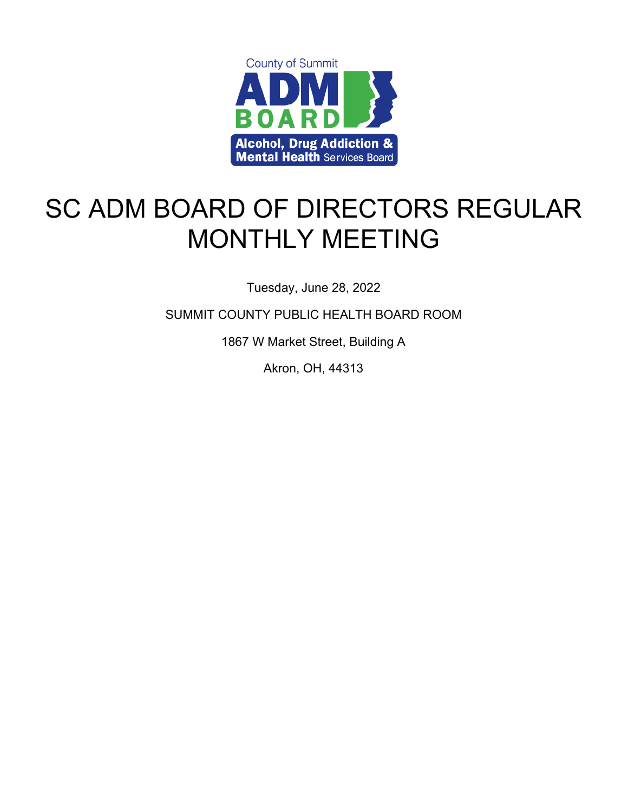

# SC ADM BOARD OF DIRECTORS REGULAR MONTHLY MEETING

Tuesday, June 28, 2022

SUMMIT COUNTY PUBLIC HEALTH BOARD ROOM

1867 W Market Street, Building A

Akron, OH, 44313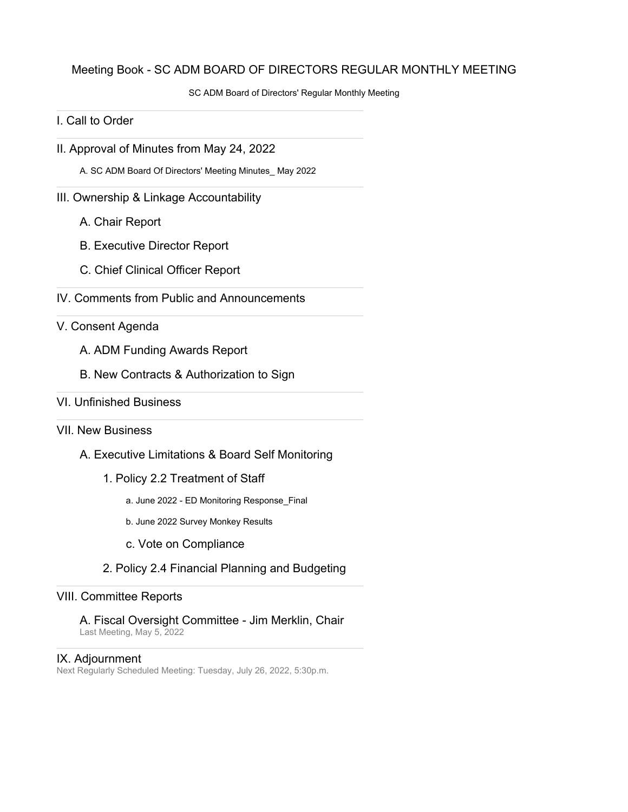#### Meeting Book - SC ADM BOARD OF DIRECTORS REGULAR MONTHLY MEETING

SC ADM Board of Directors' Regular Monthly Meeting

#### I. Call to Order

II. Approval of Minutes from May 24, 2022

A. SC ADM Board Of Directors' Meeting Minutes\_ May 2022

#### III. Ownership & Linkage Accountability

- A. Chair Report
- B. Executive Director Report
- C. Chief Clinical Officer Report
- IV. Comments from Public and Announcements

#### V. Consent Agenda

- A. ADM Funding Awards Report
- B. New Contracts & Authorization to Sign
- VI. Unfinished Business

#### VII. New Business

- A. Executive Limitations & Board Self Monitoring
	- 1. Policy 2.2 Treatment of Staff
		- a. June 2022 ED Monitoring Response\_Final
		- b. June 2022 Survey Monkey Results
		- c. Vote on Compliance
	- 2. Policy 2.4 Financial Planning and Budgeting

#### VIII. Committee Reports

A. Fiscal Oversight Committee - Jim Merklin, Chair Last Meeting, May 5, 2022

#### IX. Adjournment

Next Regularly Scheduled Meeting: Tuesday, July 26, 2022, 5:30p.m.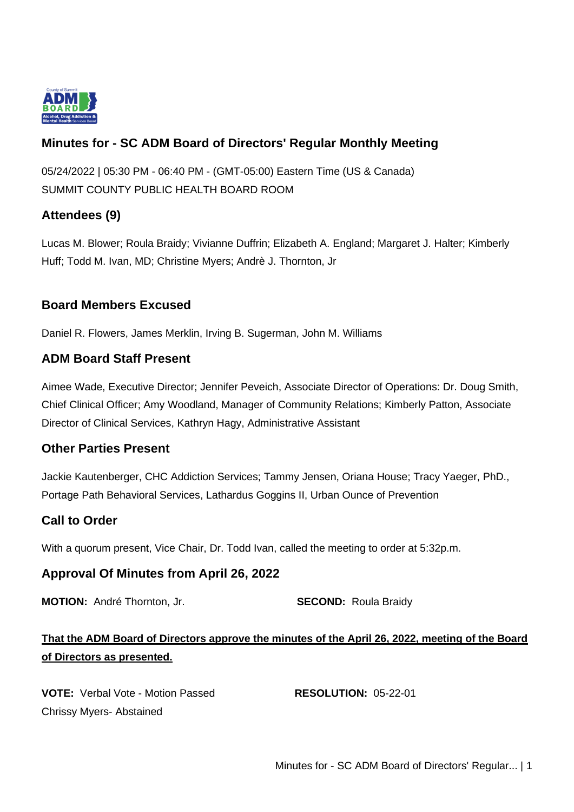

# **Minutes for - SC ADM Board of Directors' Regular Monthly Meeting**

05/24/2022 | 05:30 PM - 06:40 PM - (GMT-05:00) Eastern Time (US & Canada) SUMMIT COUNTY PUBLIC HEALTH BOARD ROOM

# **Attendees (9)**

Lucas M. Blower; Roula Braidy; Vivianne Duffrin; Elizabeth A. England; Margaret J. Halter; Kimberly Huff; Todd M. Ivan, MD; Christine Myers; Andrè J. Thornton, Jr

# **Board Members Excused**

Daniel R. Flowers, James Merklin, Irving B. Sugerman, John M. Williams

# **ADM Board Staff Present**

Aimee Wade, Executive Director; Jennifer Peveich, Associate Director of Operations: Dr. Doug Smith, Chief Clinical Officer; Amy Woodland, Manager of Community Relations; Kimberly Patton, Associate Director of Clinical Services, Kathryn Hagy, Administrative Assistant

# **Other Parties Present**

Jackie Kautenberger, CHC Addiction Services; Tammy Jensen, Oriana House; Tracy Yaeger, PhD., Portage Path Behavioral Services, Lathardus Goggins II, Urban Ounce of Prevention

# **Call to Order**

With a quorum present, Vice Chair, Dr. Todd Ivan, called the meeting to order at 5:32p.m.

# **Approval Of Minutes from April 26, 2022**

**MOTION:** André Thornton, Jr. **SECOND:** Roula Braidy

# **That the ADM Board of Directors approve the minutes of the April 26, 2022, meeting of the Board of Directors as presented.**

**VOTE:** Verbal Vote - Motion Passed **RESOLUTION:** 05-22-01 Chrissy Myers- Abstained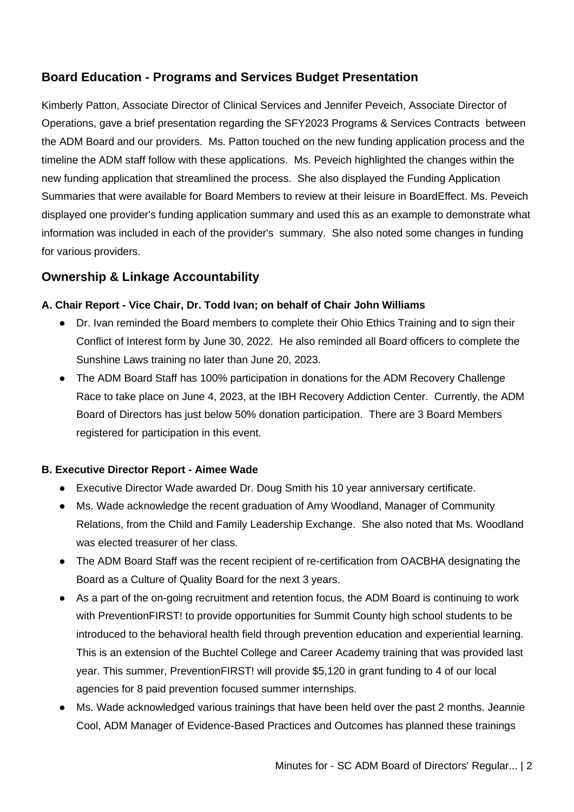# **Board Education - Programs and Services Budget Presentation**

Kimberly Patton, Associate Director of Clinical Services and Jennifer Peveich, Associate Director of Operations, gave a brief presentation regarding the SFY2023 Programs & Services Contracts between the ADM Board and our providers. Ms. Patton touched on the new funding application process and the timeline the ADM staff follow with these applications. Ms. Peveich highlighted the changes within the new funding application that streamlined the process. She also displayed the Funding Application Summaries that were available for Board Members to review at their leisure in BoardEffect. Ms. Peveich displayed one provider's funding application summary and used this as an example to demonstrate what information was included in each of the provider's summary. She also noted some changes in funding for various providers.

# **Ownership & Linkage Accountability**

### **A. Chair Report - Vice Chair, Dr. Todd Ivan; on behalf of Chair John Williams**

- Dr. Ivan reminded the Board members to complete their Ohio Ethics Training and to sign their Conflict of Interest form by June 30, 2022. He also reminded all Board officers to complete the Sunshine Laws training no later than June 20, 2023.
- The ADM Board Staff has 100% participation in donations for the ADM Recovery Challenge Race to take place on June 4, 2023, at the IBH Recovery Addiction Center. Currently, the ADM Board of Directors has just below 50% donation participation. There are 3 Board Members registered for participation in this event.

### **B. Executive Director Report - Aimee Wade**

- Executive Director Wade awarded Dr. Doug Smith his 10 year anniversary certificate.
- Ms. Wade acknowledge the recent graduation of Amy Woodland, Manager of Community Relations, from the Child and Family Leadership Exchange. She also noted that Ms. Woodland was elected treasurer of her class.
- The ADM Board Staff was the recent recipient of re-certification from OACBHA designating the Board as a Culture of Quality Board for the next 3 years.
- As a part of the on-going recruitment and retention focus, the ADM Board is continuing to work with PreventionFIRST! to provide opportunities for Summit County high school students to be introduced to the behavioral health field through prevention education and experiential learning. This is an extension of the Buchtel College and Career Academy training that was provided last year. This summer, PreventionFIRST! will provide \$5,120 in grant funding to 4 of our local agencies for 8 paid prevention focused summer internships.
- Ms. Wade acknowledged various trainings that have been held over the past 2 months. Jeannie Cool, ADM Manager of Evidence-Based Practices and Outcomes has planned these trainings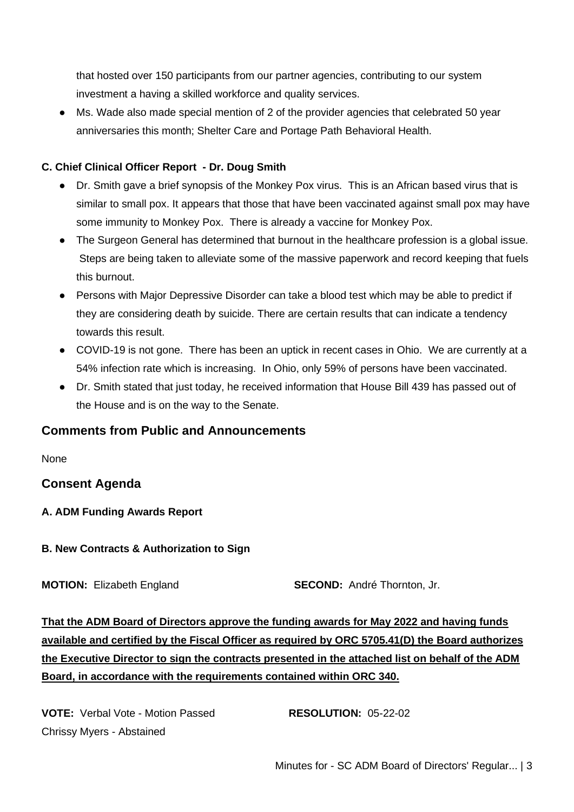that hosted over 150 participants from our partner agencies, contributing to our system investment a having a skilled workforce and quality services.

● Ms. Wade also made special mention of 2 of the provider agencies that celebrated 50 year anniversaries this month; Shelter Care and Portage Path Behavioral Health.

### **C. Chief Clinical Officer Report - Dr. Doug Smith**

- Dr. Smith gave a brief synopsis of the Monkey Pox virus. This is an African based virus that is similar to small pox. It appears that those that have been vaccinated against small pox may have some immunity to Monkey Pox. There is already a vaccine for Monkey Pox.
- The Surgeon General has determined that burnout in the healthcare profession is a global issue. Steps are being taken to alleviate some of the massive paperwork and record keeping that fuels this burnout.
- Persons with Major Depressive Disorder can take a blood test which may be able to predict if they are considering death by suicide. There are certain results that can indicate a tendency towards this result.
- COVID-19 is not gone. There has been an uptick in recent cases in Ohio. We are currently at a 54% infection rate which is increasing. In Ohio, only 59% of persons have been vaccinated.
- Dr. Smith stated that just today, he received information that House Bill 439 has passed out of the House and is on the way to the Senate.

# **Comments from Public and Announcements**

None

# **Consent Agenda**

#### **A. ADM Funding Awards Report**

**B. New Contracts & Authorization to Sign**

**MOTION:** Elizabeth England **SECOND:** André Thornton, Jr.

**That the ADM Board of Directors approve the funding awards for May 2022 and having funds available and certified by the Fiscal Officer as required by ORC 5705.41(D) the Board authorizes the Executive Director to sign the contracts presented in the attached list on behalf of the ADM Board, in accordance with the requirements contained within ORC 340.**

**VOTE:** Verbal Vote - Motion Passed **RESOLUTION:** 05-22-02 Chrissy Myers - Abstained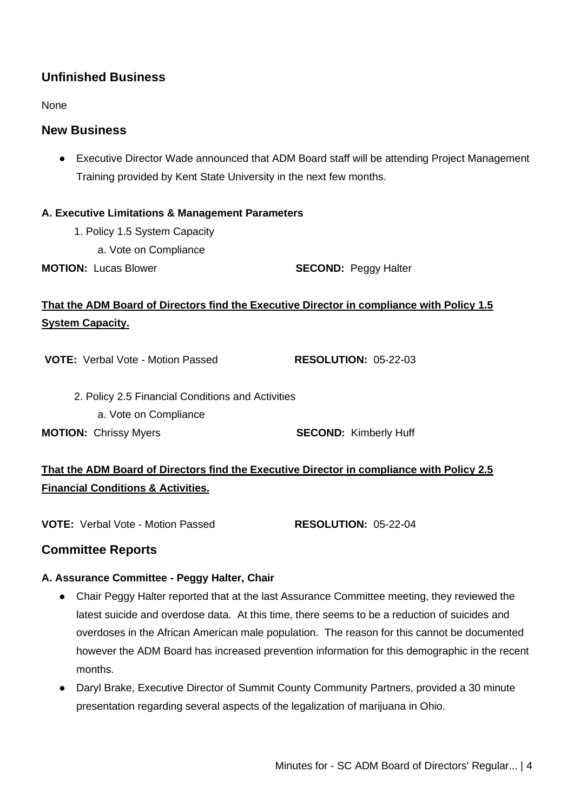# **Unfinished Business**

None

## **New Business**

● Executive Director Wade announced that ADM Board staff will be attending Project Management Training provided by Kent State University in the next few months.

#### **A. Executive Limitations & Management Parameters**

- 1. Policy 1.5 System Capacity
	- a. Vote on Compliance
- **MOTION:** Lucas Blower **SECOND:** Peggy Halter

# **That the ADM Board of Directors find the Executive Director in compliance with Policy 1.5 System Capacity.**

**VOTE:** Verbal Vote - Motion Passed **RESOLUTION:** 05-22-03

- 2. Policy 2.5 Financial Conditions and Activities
	- a. Vote on Compliance

**MOTION:** Chrissy Myers **SECOND:** Kimberly Huff

# **That the ADM Board of Directors find the Executive Director in compliance with Policy 2.5 Financial Conditions & Activities.**

**VOTE:** Verbal Vote - Motion Passed **RESOLUTION:** 05-22-04

# **Committee Reports**

### **A. Assurance Committee - Peggy Halter, Chair**

- Chair Peggy Halter reported that at the last Assurance Committee meeting, they reviewed the latest suicide and overdose data. At this time, there seems to be a reduction of suicides and overdoses in the African American male population. The reason for this cannot be documented however the ADM Board has increased prevention information for this demographic in the recent months.
- Daryl Brake, Executive Director of Summit County Community Partners, provided a 30 minute presentation regarding several aspects of the legalization of marijuana in Ohio.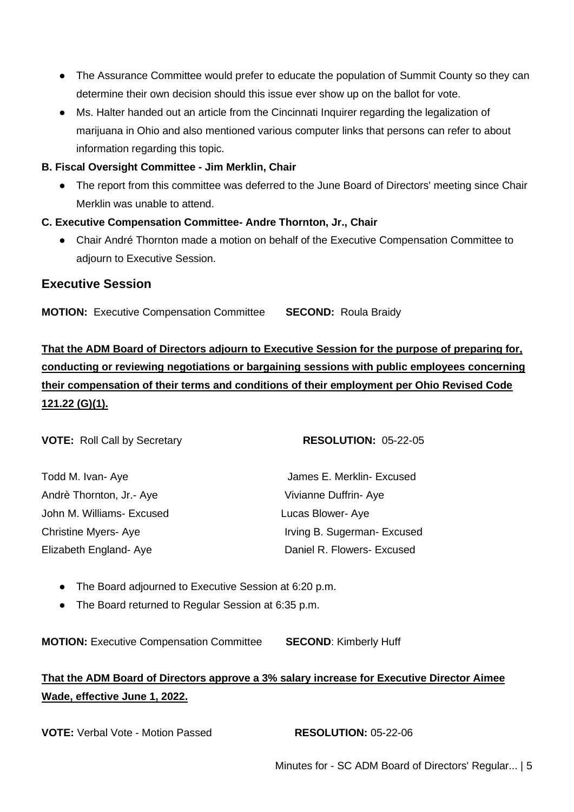- The Assurance Committee would prefer to educate the population of Summit County so they can determine their own decision should this issue ever show up on the ballot for vote.
- Ms. Halter handed out an article from the Cincinnati Inquirer regarding the legalization of marijuana in Ohio and also mentioned various computer links that persons can refer to about information regarding this topic.
- **B. Fiscal Oversight Committee - Jim Merklin, Chair**
	- The report from this committee was deferred to the June Board of Directors' meeting since Chair Merklin was unable to attend.
- **C. Executive Compensation Committee- Andre Thornton, Jr., Chair**
	- Chair André Thornton made a motion on behalf of the Executive Compensation Committee to adjourn to Executive Session.

# **Executive Session**

**MOTION:** Executive Compensation Committee **SECOND:** Roula Braidy

**That the ADM Board of Directors adjourn to Executive Session for the purpose of preparing for, conducting or reviewing negotiations or bargaining sessions with public employees concerning their compensation of their terms and conditions of their employment per Ohio Revised Code 121.22 (G)(1).**

**VOTE:** Roll Call by Secretary **RESOLUTION:** 05-22-05

| Todd M. Ivan- Aye         | James E. Merklin- Excused   |
|---------------------------|-----------------------------|
| Andrè Thornton, Jr.- Aye  | Vivianne Duffrin-Aye        |
| John M. Williams- Excused | Lucas Blower-Aye            |
| Christine Myers- Aye      | Irving B. Sugerman- Excused |
| Elizabeth England- Aye    | Daniel R. Flowers- Excused  |

- The Board adjourned to Executive Session at 6:20 p.m.
- The Board returned to Regular Session at 6:35 p.m.

**MOTION:** Executive Compensation Committee **SECOND**: Kimberly Huff

# **That the ADM Board of Directors approve a 3% salary increase for Executive Director Aimee Wade, effective June 1, 2022.**

**VOTE:** Verbal Vote - Motion Passed **RESOLUTION:** 05-22-06